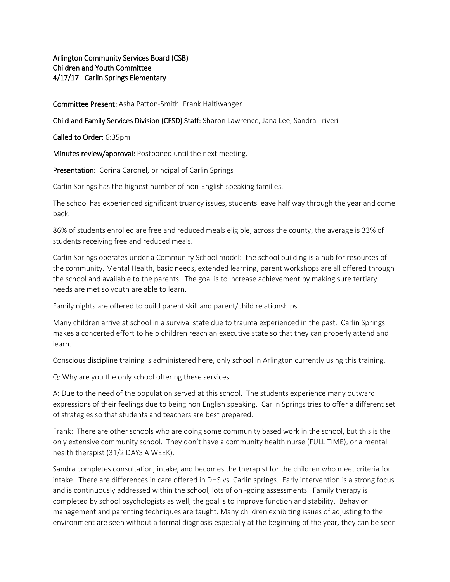Arlington Community Services Board (CSB) Children and Youth Committee 4/17/17– Carlin Springs Elementary

Committee Present: Asha Patton-Smith, Frank Haltiwanger

Child and Family Services Division (CFSD) Staff: Sharon Lawrence, Jana Lee, Sandra Triveri

Called to Order: 6:35pm

Minutes review/approval: Postponed until the next meeting.

Presentation: Corina Caronel, principal of Carlin Springs

Carlin Springs has the highest number of non-English speaking families.

The school has experienced significant truancy issues, students leave half way through the year and come back.

86% of students enrolled are free and reduced meals eligible, across the county, the average is 33% of students receiving free and reduced meals.

Carlin Springs operates under a Community School model: the school building is a hub for resources of the community. Mental Health, basic needs, extended learning, parent workshops are all offered through the school and available to the parents. The goal is to increase achievement by making sure tertiary needs are met so youth are able to learn.

Family nights are offered to build parent skill and parent/child relationships.

Many children arrive at school in a survival state due to trauma experienced in the past. Carlin Springs makes a concerted effort to help children reach an executive state so that they can properly attend and learn.

Conscious discipline training is administered here, only school in Arlington currently using this training.

Q: Why are you the only school offering these services.

A: Due to the need of the population served at this school. The students experience many outward expressions of their feelings due to being non English speaking. Carlin Springs tries to offer a different set of strategies so that students and teachers are best prepared.

Frank: There are other schools who are doing some community based work in the school, but this is the only extensive community school. They don't have a community health nurse (FULL TIME), or a mental health therapist (31/2 DAYS A WEEK).

Sandra completes consultation, intake, and becomes the therapist for the children who meet criteria for intake. There are differences in care offered in DHS vs. Carlin springs. Early intervention is a strong focus and is continuously addressed within the school, lots of on -going assessments. Family therapy is completed by school psychologists as well, the goal is to improve function and stability. Behavior management and parenting techniques are taught. Many children exhibiting issues of adjusting to the environment are seen without a formal diagnosis especially at the beginning of the year, they can be seen